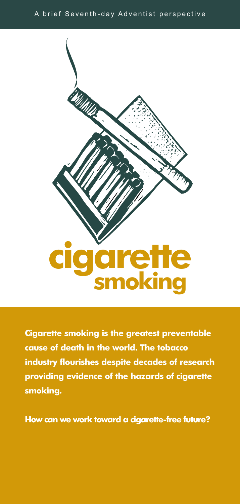## A brief Seventh-day Adventist perspective



**Cigarette smoking is the greatest preventable cause of death in the world. The tobacco industry flourishes despite decades of research providing evidence of the hazards of cigarette smoking.**

**How can we work toward a cigarette-free future?**